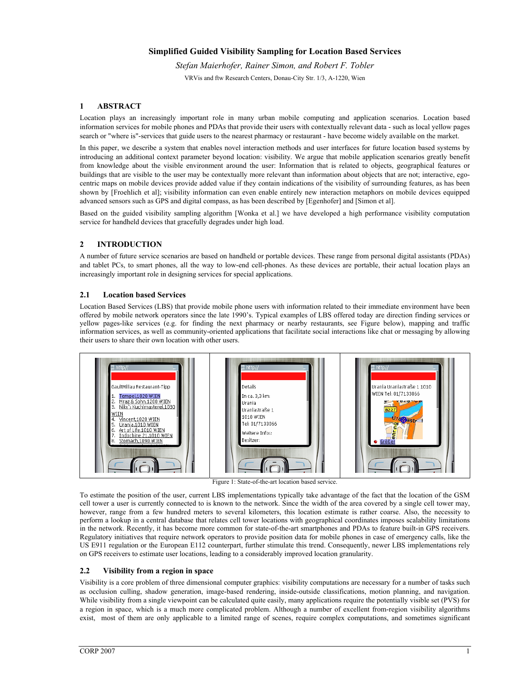# **Simplified Guided Visibility Sampling for Location Based Services**

*Stefan Maierhofer, Rainer Simon, and Robert F. Tobler*  VRVis and ftw Research Centers, Donau-City Str. 1/3, A-1220, Wien

## **1 ABSTRACT**

Location plays an increasingly important role in many urban mobile computing and application scenarios. Location based information services for mobile phones and PDAs that provide their users with contextually relevant data - such as local yellow pages search or "where is"-services that guide users to the nearest pharmacy or restaurant - have become widely available on the market.

In this paper, we describe a system that enables novel interaction methods and user interfaces for future location based systems by introducing an additional context parameter beyond location: visibility. We argue that mobile application scenarios greatly benefit from knowledge about the visible environment around the user: Information that is related to objects, geographical features or buildings that are visible to the user may be contextually more relevant than information about objects that are not; interactive, egocentric maps on mobile devices provide added value if they contain indications of the visibility of surrounding features, as has been shown by [Froehlich et al]; visibility information can even enable entirely new interaction metaphors on mobile devices equipped advanced sensors such as GPS and digital compass, as has been described by [Egenhofer] and [Simon et al].

Based on the guided visibility sampling algorithm [Wonka et al.] we have developed a high performance visibility computation service for handheld devices that gracefully degrades under high load.

### **2 INTRODUCTION**

A number of future service scenarios are based on handheld or portable devices. These range from personal digital assistants (PDAs) and tablet PCs, to smart phones, all the way to low-end cell-phones. As these devices are portable, their actual location plays an increasingly important role in designing services for special applications.

### **2.1 Location based Services**

Location Based Services (LBS) that provide mobile phone users with information related to their immediate environment have been offered by mobile network operators since the late 1990's. Typical examples of LBS offered today are direction finding services or yellow pages-like services (e.g. for finding the next pharmacy or nearby restaurants, see Figure below), mapping and traffic information services, as well as community-oriented applications that facilitate social interactions like chat or messaging by allowing their users to share their own location with other users.



Figure 1: State-of-the-art location based service.

To estimate the position of the user, current LBS implementations typically take advantage of the fact that the location of the GSM cell tower a user is currently connected to is known to the network. Since the width of the area covered by a single cell tower may, however, range from a few hundred meters to several kilometers, this location estimate is rather coarse. Also, the necessity to perform a lookup in a central database that relates cell tower locations with geographical coordinates imposes scalability limitations in the network. Recently, it has become more common for state-of-the-art smartphones and PDAs to feature built-in GPS receivers. Regulatory initiatives that require network operators to provide position data for mobile phones in case of emergency calls, like the US E911 regulation or the European E112 counterpart, further stimulate this trend. Consequently, newer LBS implementations rely on GPS receivers to estimate user locations, leading to a considerably improved location granularity.

### **2.2 Visibility from a region in space**

Visibility is a core problem of three dimensional computer graphics: visibility computations are necessary for a number of tasks such as occlusion culling, shadow generation, image-based rendering, inside-outside classifications, motion planning, and navigation. While visibility from a single viewpoint can be calculated quite easily, many applications require the potentially visible set (PVS) for a region in space, which is a much more complicated problem. Although a number of excellent from-region visibility algorithms exist, most of them are only applicable to a limited range of scenes, require complex computations, and sometimes significant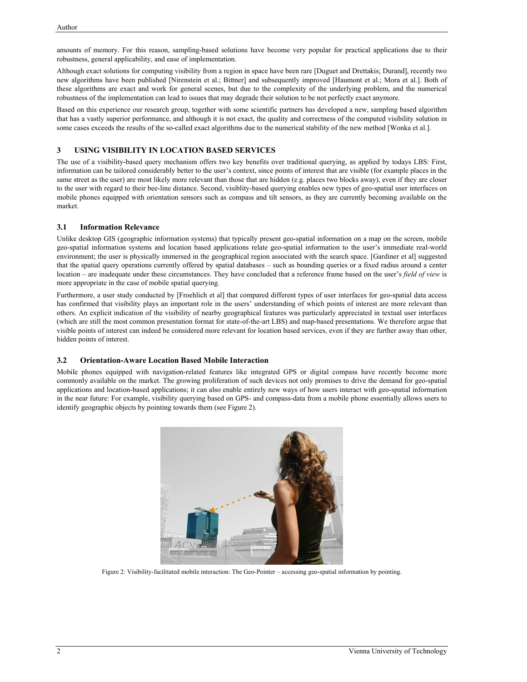amounts of memory. For this reason, sampling-based solutions have become very popular for practical applications due to their robustness, general applicability, and ease of implementation.

Although exact solutions for computing visibility from a region in space have been rare [Duguet and Drettakis; Durand], recently two new algorithms have been published [Nirenstein et al.; Bittner] and subsequently improved [Haumont et al.; Mora et al.]. Both of these algorithms are exact and work for general scenes, but due to the complexity of the underlying problem, and the numerical robustness of the implementation can lead to issues that may degrade their solution to be not perfectly exact anymore.

Based on this experience our research group, together with some scientific partners has developed a new, sampling based algorithm that has a vastly superior performance, and although it is not exact, the quality and correctness of the computed visibility solution in some cases exceeds the results of the so-called exact algorithms due to the numerical stability of the new method [Wonka et al.].

# **3 USING VISIBILITY IN LOCATION BASED SERVICES**

The use of a visibility-based query mechanism offers two key benefits over traditional querying, as applied by todays LBS: First, information can be tailored considerably better to the user's context, since points of interest that are visible (for example places in the same street as the user) are most likely more relevant than those that are hidden (e.g. places two blocks away), even if they are closer to the user with regard to their bee-line distance. Second, visiblity-based querying enables new types of geo-spatial user interfaces on mobile phones equipped with orientation sensors such as compass and tilt sensors, as they are currently becoming available on the market.

### **3.1 Information Relevance**

Unlike desktop GIS (geographic information systems) that typically present geo-spatial information on a map on the screen, mobile geo-spatial information systems and location based applications relate geo-spatial information to the user's immediate real-world environment; the user is physically immersed in the geographical region associated with the search space. [Gardiner et al] suggested that the spatial query operations currently offered by spatial databases – such as bounding queries or a fixed radius around a center location – are inadequate under these circumstances. They have concluded that a reference frame based on the user's *field of view* is more appropriate in the case of mobile spatial querying.

Furthermore, a user study conducted by [Froehlich et al] that compared different types of user interfaces for geo-spatial data access has confirmed that visibility plays an important role in the users' understanding of which points of interest are more relevant than others. An explicit indication of the visibility of nearby geographical features was particularly appreciated in textual user interfaces (which are still the most common presentation format for state-of-the-art LBS) and map-based presentations. We therefore argue that visible points of interest can indeed be considered more relevant for location based services, even if they are further away than other, hidden points of interest.

# **3.2 Orientation-Aware Location Based Mobile Interaction**

Mobile phones equipped with navigation-related features like integrated GPS or digital compass have recently become more commonly available on the market. The growing proliferation of such devices not only promises to drive the demand for geo-spatial applications and location-based applications; it can also enable entirely new ways of how users interact with geo-spatial information in the near future: For example, visibility querying based on GPS- and compass-data from a mobile phone essentially allows users to identify geographic objects by pointing towards them (see Figure 2).



Figure 2: Visibility-facilitated mobile interaction: The Geo-Pointer – accessing geo-spatial information by pointing.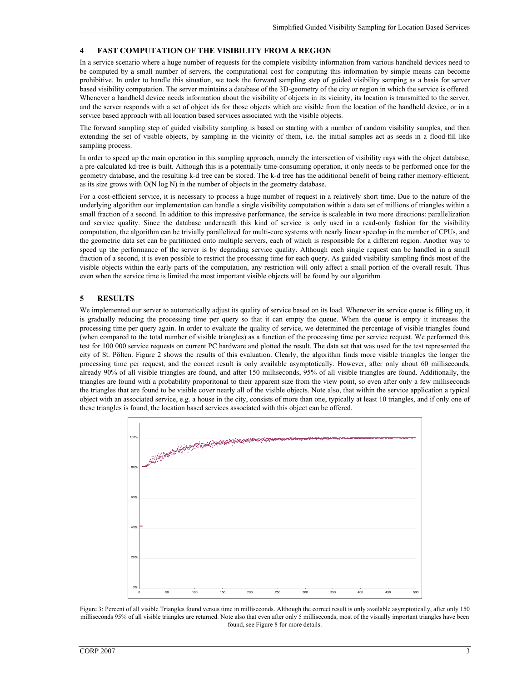#### **4 FAST COMPUTATION OF THE VISIBILITY FROM A REGION**

In a service scenario where a huge number of requests for the complete visibility information from various handheld devices need to be computed by a small number of servers, the computational cost for computing this information by simple means can become prohibitive. In order to handle this situation, we took the forward sampling step of guided visibility samping as a basis for server based visibility computation. The server maintains a database of the 3D-geometry of the city or region in which the service is offered. Whenever a handheld device needs information about the visibility of objects in its vicinity, its location is transmitted to the server, and the server responds with a set of object ids for those objects which are visible from the location of the handheld device, or in a service based approach with all location based services associated with the visible objects.

The forward sampling step of guided visibility sampling is based on starting with a number of random visibility samples, and then extending the set of visible objects, by sampling in the vicinity of them, i.e. the initial samples act as seeds in a flood-fill like sampling process.

In order to speed up the main operation in this sampling approach, namely the intersection of visibility rays with the object database, a pre-calculated kd-tree is built. Although this is a potentially time-consuming operation, it only needs to be performed once for the geometry database, and the resulting k-d tree can be stored. The k-d tree has the additional benefit of being rather memory-efficient, as its size grows with O(N log N) in the number of objects in the geometry database.

For a cost-efficient service, it is necessary to process a huge number of request in a relatively short time. Due to the nature of the underlying algorithm our implementation can handle a single visibility computation within a data set of millions of triangles within a small fraction of a second. In addition to this impressive performance, the service is scaleable in two more directions: parallelization and service quality. Since the database underneath this kind of service is only used in a read-only fashion for the visibility computation, the algorithm can be trivially parallelized for multi-core systems with nearly linear speedup in the number of CPUs, and the geometric data set can be partitioned onto multiple servers, each of which is responsible for a different region. Another way to speed up the performance of the server is by degrading service quality. Although each single request can be handled in a small fraction of a second, it is even possible to restrict the processing time for each query. As guided visibility sampling finds most of the visible objects within the early parts of the computation, any restriction will only affect a small portion of the overall result. Thus even when the service time is limited the most important visible objects will be found by our algorithm.

## **5 RESULTS**

We implemented our server to automatically adjust its quality of service based on its load. Whenever its service queue is filling up, it is gradually reducing the processing time per query so that it can empty the queue. When the queue is empty it increases the processing time per query again. In order to evaluate the quality of service, we determined the percentage of visible triangles found (when compared to the total number of visible triangles) as a function of the processing time per service request. We performed this test for 100 000 service requests on current PC hardware and plotted the result. The data set that was used for the test represented the city of St. Pölten. Figure 2 shows the results of this evaluation. Clearly, the algorithm finds more visible triangles the longer the processing time per request, and the correct result is only available asymptotically. However, after only about 60 milliseconds, already 90% of all visible triangles are found, and after 150 milliseconds, 95% of all visible triangles are found. Additionally, the triangles are found with a probability proporitonal to their apparent size from the view point, so even after only a few milliseconds the triangles that are found to be visible cover nearly all of the visible objects. Note also, that within the service application a typical object with an associated service, e.g. a house in the city, consists of more than one, typically at least 10 triangles, and if only one of these triangles is found, the location based services associated with this object can be offered.



Figure 3: Percent of all visible Triangles found versus time in milliseconds. Although the correct result is only available asymptotically, after only 150 milliseconds 95% of all visible triangles are returned. Note also that even after only 5 milliseconds, most of the visually important triangles have been found, see Figure 8 for more details.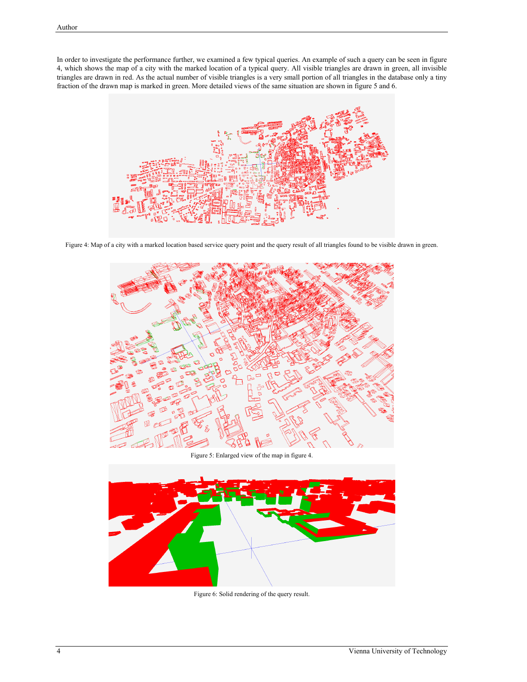In order to investigate the performance further, we examined a few typical queries. An example of such a query can be seen in figure 4, which shows the map of a city with the marked location of a typical query. All visible triangles are drawn in green, all invisible triangles are drawn in red. As the actual number of visible triangles is a very small portion of all triangles in the database only a tiny fraction of the drawn map is marked in green. More detailed views of the same situation are shown in figure 5 and 6.



Figure 4: Map of a city with a marked location based service query point and the query result of all triangles found to be visible drawn in green.



Figure 5: Enlarged view of the map in figure 4.



Figure 6: Solid rendering of the query result.